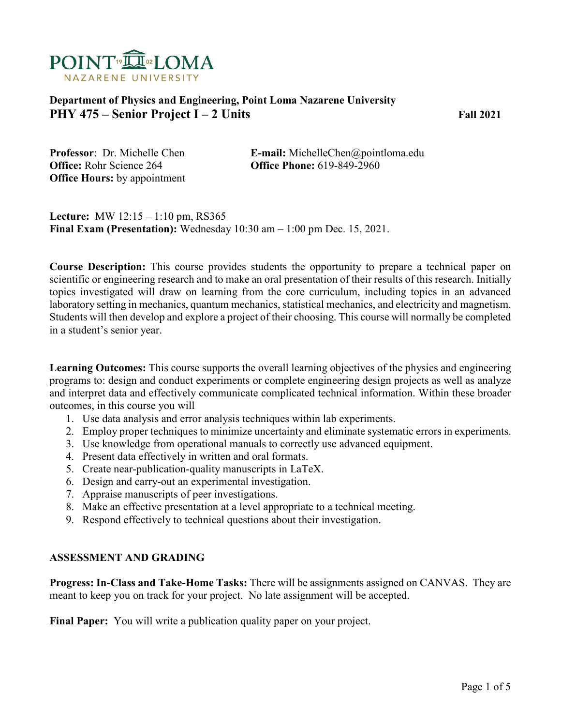

### **Department of Physics and Engineering, Point Loma Nazarene University PHY 475 – Senior Project I – 2 Units Fall 2021**

**Office:** Rohr Science 264 **Office Phone:** 619-849-2960 **Office Hours:** by appointment

**Professor**: Dr. Michelle Chen **E-mail:** MichelleChen@pointloma.edu

**Lecture:** MW 12:15 – 1:10 pm, RS365 **Final Exam (Presentation):** Wednesday 10:30 am – 1:00 pm Dec. 15, 2021.

**Course Description:** This course provides students the opportunity to prepare a technical paper on scientific or engineering research and to make an oral presentation of their results of this research. Initially topics investigated will draw on learning from the core curriculum, including topics in an advanced laboratory setting in mechanics, quantum mechanics, statistical mechanics, and electricity and magnetism. Students will then develop and explore a project of their choosing. This course will normally be completed in a student's senior year.

**Learning Outcomes:** This course supports the overall learning objectives of the physics and engineering programs to: design and conduct experiments or complete engineering design projects as well as analyze and interpret data and effectively communicate complicated technical information. Within these broader outcomes, in this course you will

- 1. Use data analysis and error analysis techniques within lab experiments.
- 2. Employ proper techniques to minimize uncertainty and eliminate systematic errors in experiments.
- 3. Use knowledge from operational manuals to correctly use advanced equipment.
- 4. Present data effectively in written and oral formats.
- 5. Create near-publication-quality manuscripts in LaTeX.
- 6. Design and carry-out an experimental investigation.
- 7. Appraise manuscripts of peer investigations.
- 8. Make an effective presentation at a level appropriate to a technical meeting.
- 9. Respond effectively to technical questions about their investigation.

#### **ASSESSMENT AND GRADING**

**Progress: In-Class and Take-Home Tasks:** There will be assignments assigned on CANVAS. They are meant to keep you on track for your project. No late assignment will be accepted.

**Final Paper:** You will write a publication quality paper on your project.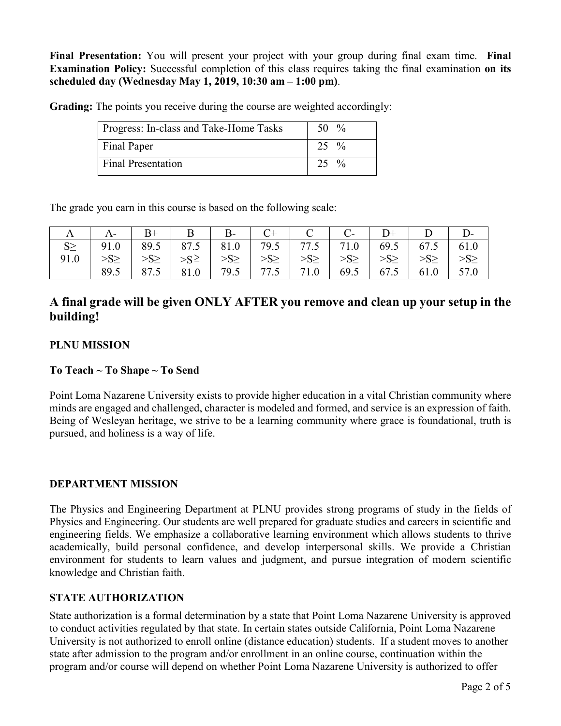**Final Presentation:** You will present your project with your group during final exam time. **Final Examination Policy:** Successful completion of this class requires taking the final examination **on its scheduled day (Wednesday May 1, 2019, 10:30 am – 1:00 pm)**.

**Grading:** The points you receive during the course are weighted accordingly:

| Progress: In-class and Take-Home Tasks | 50 $\%$          |
|----------------------------------------|------------------|
| Final Paper                            | $25 \frac{9}{6}$ |
| Final Presentation                     | $25 \frac{9}{6}$ |

The grade you earn in this course is based on the following scale:

| A   A -   B +   B   B -   C +   C   C -   D +   D   D -                       |  |  |  |                                                                                              |  |
|-------------------------------------------------------------------------------|--|--|--|----------------------------------------------------------------------------------------------|--|
| $S \ge$   91.0   89.5   87.5   81.0   79.5   77.5   71.0   69.5   67.5   61.0 |  |  |  |                                                                                              |  |
|                                                                               |  |  |  | $>>S \ge   >> \ge   >> \ge   >> \ge   >> \ge   >> \ge   >> \ge   >> \ge   >> \ge   >> \ge  $ |  |
|                                                                               |  |  |  | 89.5   87.5   81.0   79.5   77.5   71.0   69.5   67.5   61.0   57.0                          |  |

# **A final grade will be given ONLY AFTER you remove and clean up your setup in the building!**

### **PLNU MISSION**

### **To Teach ~ To Shape ~ To Send**

Point Loma Nazarene University exists to provide higher education in a vital Christian community where minds are engaged and challenged, character is modeled and formed, and service is an expression of faith. Being of Wesleyan heritage, we strive to be a learning community where grace is foundational, truth is pursued, and holiness is a way of life.

### **DEPARTMENT MISSION**

The Physics and Engineering Department at PLNU provides strong programs of study in the fields of Physics and Engineering. Our students are well prepared for graduate studies and careers in scientific and engineering fields. We emphasize a collaborative learning environment which allows students to thrive academically, build personal confidence, and develop interpersonal skills. We provide a Christian environment for students to learn values and judgment, and pursue integration of modern scientific knowledge and Christian faith.

#### **STATE AUTHORIZATION**

State authorization is a formal determination by a state that Point Loma Nazarene University is approved to conduct activities regulated by that state. In certain states outside California, Point Loma Nazarene University is not authorized to enroll online (distance education) students. If a student moves to another state after admission to the program and/or enrollment in an online course, continuation within the program and/or course will depend on whether Point Loma Nazarene University is authorized to offer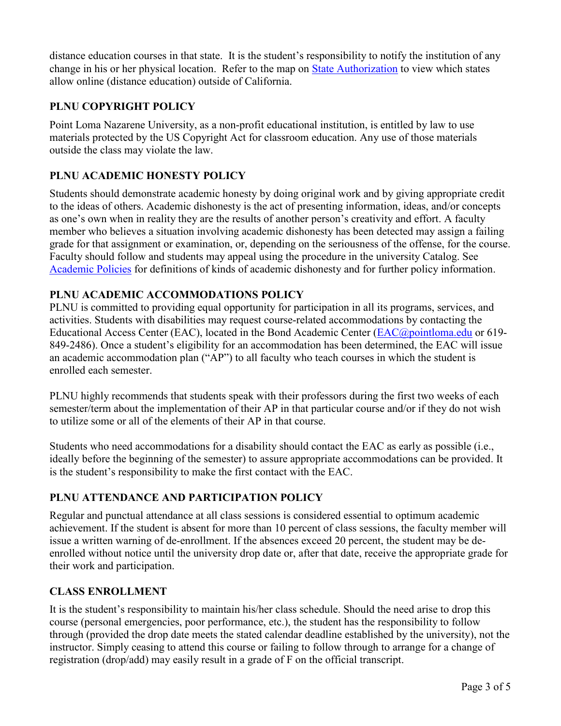distance education courses in that state. It is the student's responsibility to notify the institution of any change in his or her physical location. Refer to the map on [State Authorization](https://www.pointloma.edu/offices/office-institutional-effectiveness-research/disclosures) to view which states allow online (distance education) outside of California.

### **PLNU COPYRIGHT POLICY**

Point Loma Nazarene University, as a non-profit educational institution, is entitled by law to use materials protected by the US Copyright Act for classroom education. Any use of those materials outside the class may violate the law.

### **PLNU ACADEMIC HONESTY POLICY**

Students should demonstrate academic honesty by doing original work and by giving appropriate credit to the ideas of others. Academic dishonesty is the act of presenting information, ideas, and/or concepts as one's own when in reality they are the results of another person's creativity and effort. A faculty member who believes a situation involving academic dishonesty has been detected may assign a failing grade for that assignment or examination, or, depending on the seriousness of the offense, for the course. Faculty should follow and students may appeal using the procedure in the university Catalog. See [Academic Policies](https://catalog.pointloma.edu/content.php?catoid=52&navoid=2919#Academic_Honesty) for definitions of kinds of academic dishonesty and for further policy information.

### **PLNU ACADEMIC ACCOMMODATIONS POLICY**

PLNU is committed to providing equal opportunity for participation in all its programs, services, and activities. Students with disabilities may request course-related accommodations by contacting the Educational Access Center (EAC), located in the Bond Academic Center [\(EAC@pointloma.edu](mailto:EAC@pointloma.edu) or 619-849-2486). Once a student's eligibility for an accommodation has been determined, the EAC will issue an academic accommodation plan ("AP") to all faculty who teach courses in which the student is enrolled each semester.

PLNU highly recommends that students speak with their professors during the first two weeks of each semester/term about the implementation of their AP in that particular course and/or if they do not wish to utilize some or all of the elements of their AP in that course.

Students who need accommodations for a disability should contact the EAC as early as possible (i.e., ideally before the beginning of the semester) to assure appropriate accommodations can be provided. It is the student's responsibility to make the first contact with the EAC.

## **PLNU ATTENDANCE AND PARTICIPATION POLICY**

Regular and punctual attendance at all class sessions is considered essential to optimum academic achievement. If the student is absent for more than 10 percent of class sessions, the faculty member will issue a written warning of de-enrollment. If the absences exceed 20 percent, the student may be deenrolled without notice until the university drop date or, after that date, receive the appropriate grade for their work and participation.

### **CLASS ENROLLMENT**

It is the student's responsibility to maintain his/her class schedule. Should the need arise to drop this course (personal emergencies, poor performance, etc.), the student has the responsibility to follow through (provided the drop date meets the stated calendar deadline established by the university), not the instructor. Simply ceasing to attend this course or failing to follow through to arrange for a change of registration (drop/add) may easily result in a grade of F on the official transcript.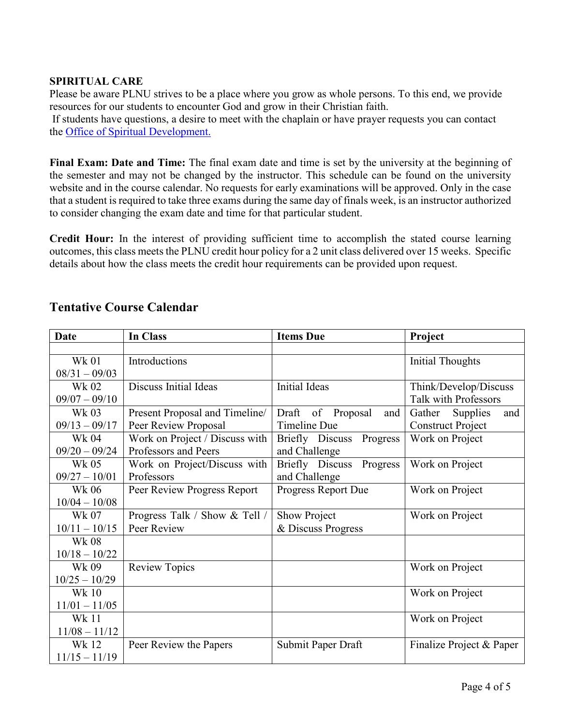#### **SPIRITUAL CARE**

Please be aware PLNU strives to be a place where you grow as whole persons. To this end, we provide resources for our students to encounter God and grow in their Christian faith.

If students have questions, a desire to meet with the chaplain or have prayer requests you can contact the Office of Spiritual Development.

**Final Exam: Date and Time:** The final exam date and time is set by the university at the beginning of the semester and may not be changed by the instructor. This schedule can be found on the university website and in the course calendar. No requests for early examinations will be approved. Only in the case that a student is required to take three exams during the same day of finals week, is an instructor authorized to consider changing the exam date and time for that particular student.

**Credit Hour:** In the interest of providing sufficient time to accomplish the stated course learning outcomes, this class meets the PLNU credit hour policy for a 2 unit class delivered over 15 weeks. Specific details about how the class meets the credit hour requirements can be provided upon request.

| <b>Date</b>     | In Class                       | <b>Items Due</b>            | Project                   |  |
|-----------------|--------------------------------|-----------------------------|---------------------------|--|
|                 |                                |                             |                           |  |
| <b>Wk 01</b>    | Introductions                  |                             | <b>Initial Thoughts</b>   |  |
| $08/31 - 09/03$ |                                |                             |                           |  |
| Wk 02           | Discuss Initial Ideas          | <b>Initial Ideas</b>        | Think/Develop/Discuss     |  |
| $09/07 - 09/10$ |                                |                             | Talk with Professors      |  |
| Wk 03           | Present Proposal and Timeline/ | Draft<br>of Proposal<br>and | and<br>Gather<br>Supplies |  |
| $09/13 - 09/17$ | Peer Review Proposal           | <b>Timeline Due</b>         | <b>Construct Project</b>  |  |
| Wk 04           | Work on Project / Discuss with | Briefly Discuss Progress    | Work on Project           |  |
| $09/20 - 09/24$ | Professors and Peers           | and Challenge               |                           |  |
| Wk 05           | Work on Project/Discuss with   | Briefly Discuss<br>Progress | Work on Project           |  |
| $09/27 - 10/01$ | Professors                     | and Challenge               |                           |  |
| Wk 06           | Peer Review Progress Report    | Progress Report Due         | Work on Project           |  |
| $10/04 - 10/08$ |                                |                             |                           |  |
| Wk 07           | Progress Talk / Show & Tell /  | Show Project                | Work on Project           |  |
| $10/11 - 10/15$ | Peer Review                    | & Discuss Progress          |                           |  |
| <b>Wk 08</b>    |                                |                             |                           |  |
| $10/18 - 10/22$ |                                |                             |                           |  |
| Wk 09           | <b>Review Topics</b>           |                             | Work on Project           |  |
| $10/25 - 10/29$ |                                |                             |                           |  |
| Wk 10           |                                |                             | Work on Project           |  |
| $11/01 - 11/05$ |                                |                             |                           |  |
| Wk 11           |                                |                             | Work on Project           |  |
| $11/08 - 11/12$ |                                |                             |                           |  |
| Wk 12           | Peer Review the Papers         | Submit Paper Draft          | Finalize Project & Paper  |  |
| $11/15 - 11/19$ |                                |                             |                           |  |

# **Tentative Course Calendar**